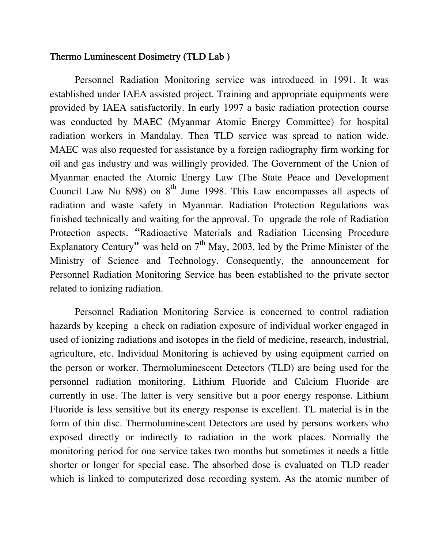### Thermo Luminescent Dosimetry (TLD Lab )

Personnel Radiation Monitoring service was introduced in 1991. It was established under IAEA assisted project. Training and appropriate equipments were provided by IAEA satisfactorily. In early 1997 a basic radiation protection course was conducted by MAEC (Myanmar Atomic Energy Committee) for hospital radiation workers in Mandalay. Then TLD service was spread to nation wide. MAEC was also requested for assistance by a foreign radiography firm working for oil and gas industry and was willingly provided. The Government of the Union of Myanmar enacted the Atomic Energy Law (The State Peace and Development Council Law No  $8/98$ ) on  $8<sup>th</sup>$  June 1998. This Law encompasses all aspects of radiation and waste safety in Myanmar. Radiation Protection Regulations was finished technically and waiting for the approval. To upgrade the role of Radiation Protection aspects. "Radioactive Materials and Radiation Licensing Procedure Explanatory Century" was held on  $7<sup>th</sup>$  May, 2003, led by the Prime Minister of the Ministry of Science and Technology. Consequently, the announcement for Personnel Radiation Monitoring Service has been established to the private sector related to ionizing radiation.

Personnel Radiation Monitoring Service is concerned to control radiation hazards by keeping a check on radiation exposure of individual worker engaged in used of ionizing radiations and isotopes in the field of medicine, research, industrial, agriculture, etc. Individual Monitoring is achieved by using equipment carried on the person or worker. Thermoluminescent Detectors (TLD) are being used for the personnel radiation monitoring. Lithium Fluoride and Calcium Fluoride are currently in use. The latter is very sensitive but a poor energy response. Lithium Fluoride is less sensitive but its energy response is excellent. TL material is in the form of thin disc. Thermoluminescent Detectors are used by persons workers who exposed directly or indirectly to radiation in the work places. Normally the monitoring period for one service takes two months but sometimes it needs a little shorter or longer for special case. The absorbed dose is evaluated on TLD reader which is linked to computerized dose recording system. As the atomic number of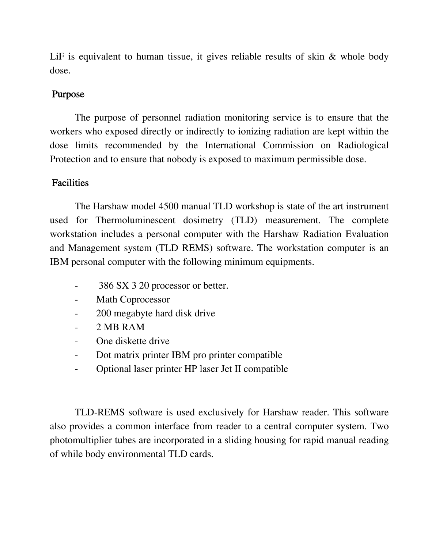LiF is equivalent to human tissue, it gives reliable results of skin & whole body dose.

## Purpose

 The purpose of personnel radiation monitoring service is to ensure that the workers who exposed directly or indirectly to ionizing radiation are kept within the dose limits recommended by the International Commission on Radiological Protection and to ensure that nobody is exposed to maximum permissible dose.

## Facilities

 The Harshaw model 4500 manual TLD workshop is state of the art instrument used for Thermoluminescent dosimetry (TLD) measurement. The complete workstation includes a personal computer with the Harshaw Radiation Evaluation and Management system (TLD REMS) software. The workstation computer is an IBM personal computer with the following minimum equipments.

- 386 SX 3 20 processor or better.
- Math Coprocessor
- 200 megabyte hard disk drive
- 2 MB RAM
- One diskette drive
- Dot matrix printer IBM pro printer compatible
- Optional laser printer HP laser Jet II compatible

TLD-REMS software is used exclusively for Harshaw reader. This software also provides a common interface from reader to a central computer system. Two photomultiplier tubes are incorporated in a sliding housing for rapid manual reading of while body environmental TLD cards.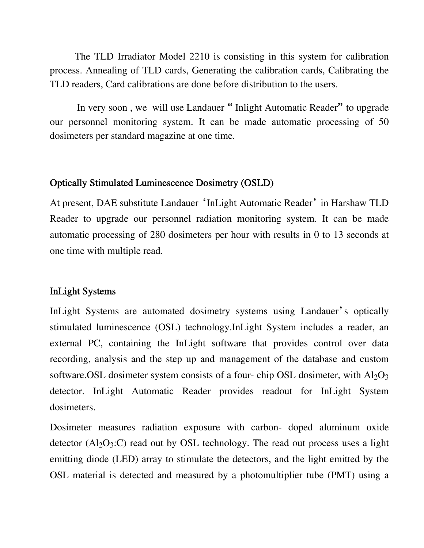The TLD Irradiator Model 2210 is consisting in this system for calibration process. Annealing of TLD cards, Generating the calibration cards, Calibrating the TLD readers, Card calibrations are done before distribution to the users.

In very soon, we will use Landauer "Inlight Automatic Reader" to upgrade our personnel monitoring system. It can be made automatic processing of 50 dosimeters per standard magazine at one time.

### Optically Stimulated Luminescence Dosimetry (OSLD)

At present, DAE substitute Landauer 'InLight Automatic Reader' in Harshaw TLD Reader to upgrade our personnel radiation monitoring system. It can be made automatic processing of 280 dosimeters per hour with results in 0 to 13 seconds at one time with multiple read.

### InLight Systems

InLight Systems are automated dosimetry systems using Landauer's optically stimulated luminescence (OSL) technology.InLight System includes a reader, an external PC, containing the InLight software that provides control over data recording, analysis and the step up and management of the database and custom software.OSL dosimeter system consists of a four- chip OSL dosimeter, with  $Al_2O_3$ detector. InLight Automatic Reader provides readout for InLight System dosimeters.

Dosimeter measures radiation exposure with carbon- doped aluminum oxide detector  $(A<sub>12</sub>O<sub>3</sub>:C)$  read out by OSL technology. The read out process uses a light emitting diode (LED) array to stimulate the detectors, and the light emitted by the OSL material is detected and measured by a photomultiplier tube (PMT) using a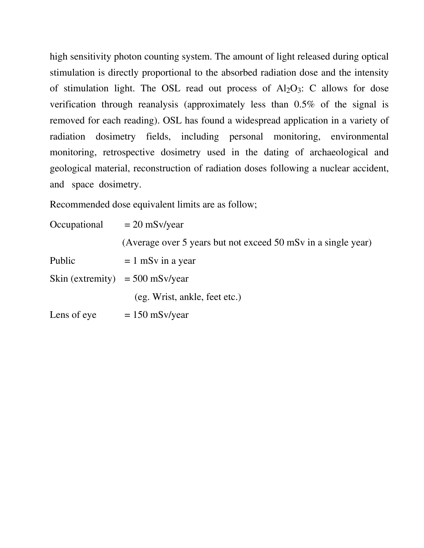high sensitivity photon counting system. The amount of light released during optical stimulation is directly proportional to the absorbed radiation dose and the intensity of stimulation light. The OSL read out process of  $Al_2O_3$ : C allows for dose verification through reanalysis (approximately less than 0.5% of the signal is removed for each reading). OSL has found a widespread application in a variety of radiation dosimetry fields, including personal monitoring, environmental monitoring, retrospective dosimetry used in the dating of archaeological and geological material, reconstruction of radiation doses following a nuclear accident, and space dosimetry.

Recommended dose equivalent limits are as follow;

| Occupational | $= 20$ mSv/year                                               |
|--------------|---------------------------------------------------------------|
|              | (Average over 5 years but not exceed 50 mSv in a single year) |
| Public       | $= 1$ mSv in a year                                           |
|              | Skin (extremity) = $500$ mSv/year                             |
|              | (eg. Wrist, ankle, feet etc.)                                 |
| Lens of eye  | $= 150$ mSv/year                                              |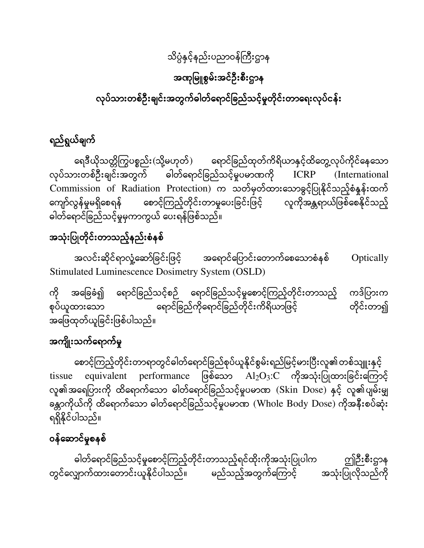## သိပ္ပæနှင့်နည်းပညာဝန်ñကီးဌာန

## အဏâြမူစွမ်းအင်ဦးစီးဌာန

# လုပ်သားတစ်ဦးချင်းအတွက်ဓါတ်ရောင်ခြည်သင့်မှုတိုင်းတာရေးလုပ်ငန်း

## ရည်ရွယ်ချက်

ရေဒီယိုသတ္တိကြွပစ္စည်း(သို့မဟုတ်) ရောင်ခြည်ထုတ်ကိရိယာနှင့်ထိတွေ့လုပ်ကိုင်နေသော လုပ်သားတစ်ဦးချင်းအတွက် ဓါတ်ရောင်ခြည်သင့်မှုပမာဏကို ICRP (International Commission of Radiation Protection) က သတ်မှတ်ထားäသာခွင့်ြပုနိâင်သည့်စæနĂန်းထက် ကျော်လွန်မှုမရှိစေရန် စောင့်ကြည့်တိုင်းတာမှုပေးခြင်းဖြင့် လူကိုအန္တရာယ်ဖြစ်စေနိုင်သည့် ဓါတ်ရောင်ခြည်သင့်မှုမှကာကွယ် ပေးရန်ဖြစ်သည်။

## အသုံးပြုတိုင်းတာသည့်နည်းစံနစ်

အလင်းဆိုင်ရာလှုံ့ဆော်ခြင်းဖြင့် အရောင်ပြောင်းတောက်စေသောစံနစ် Optically Stimulated Luminescence Dosimetry System (OSLD)

ကို အခြေခံ၍ ရောင်ခြည်သင့်စဉ် ရောင်ခြည်သင့်မှုစောင့်ကြည့်တိုင်းတာသည့် ကဒ်ပြားက စုပ်ယူထားသော " ေ ရောင်ခြည်ကိုရောင်ခြည်တိုင်းကိရိယာဖြင့် " တိုင်းတာ၍ အäြဖထâတ်ယူြခင်းြဖစ်ပါသည်။

## အကျိုးသက်ရောက်မှု

စောင့်ကြည့်တိုင်းတာရာတွင်ဓါတ်ရောင်ခြည်စုပ်ယူနိုင်စွမ်းရည်မြင့်မားပြီးလူ၏တစ်သျူးနှင့်  $t$ issue equivalent performance ဖြစ်သော  $\overline{Al_2O_3:C}$  ကိုအသုံးပြုထားခြင်းကြောင့် လူ၏အရေပြားကို ထိရောက်သော ဓါတ်ရောင်ခြည်သင့်မှုပမာဏ (Skin Dose) နှင့် လူ၏ပျမ်းမျှ ခန္တာကိုယ်ကို ထိရောက်သော ဓါတ်ရောင်ခြည်သင့်မှုပမာဏ (Whole Body Dose) ကိုအနီးစပ်ဆုံး ရရှိနိâင်ပါသည်။

## ဝန်ဆောင်မှုစနစ်

ဓါတ်ရောင်ခြည်သင့်မှုစောင့်ကြည့်တိုင်းတာသည့်ရင်ထိုးကိုအသုံးပြုပါက ကျိုဉီးစီးဌာန တွင်လျှောက်ထားတောင်းယူနိုင်ပါသည်။ မည်သည့်အတွက်ကြောင့် အသုံးပြုလိုသည်ကို